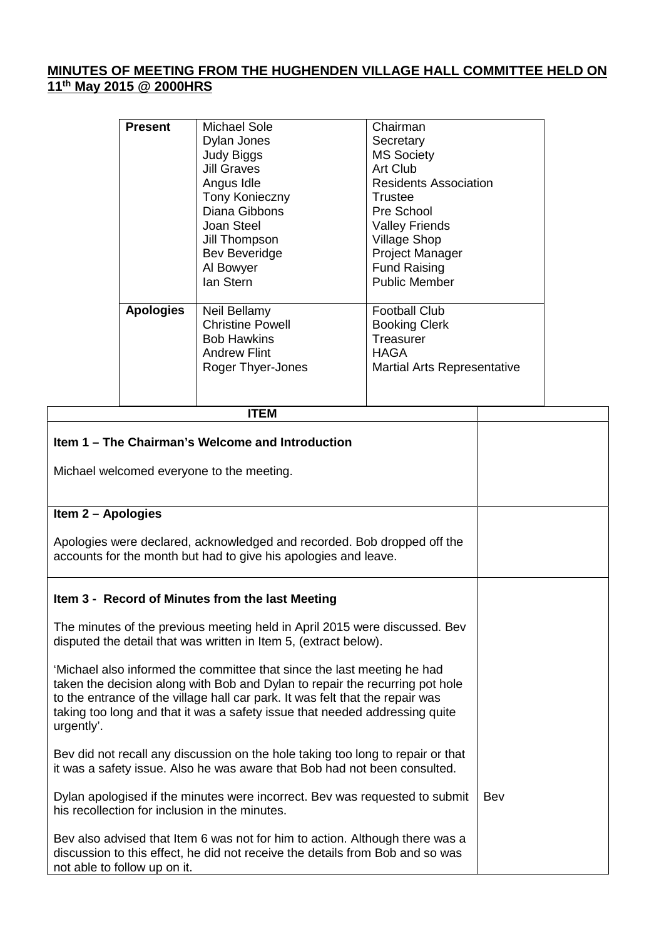## **MINUTES OF MEETING FROM THE HUGHENDEN VILLAGE HALL COMMITTEE HELD ON 11 th May 2015 @ 2000HRS**

| <b>Present</b>   | Michael Sole<br>Dylan Jones<br><b>Judy Biggs</b><br><b>Jill Graves</b><br>Angus Idle<br><b>Tony Konieczny</b><br>Diana Gibbons<br>Joan Steel<br>Jill Thompson<br><b>Bev Beveridge</b><br>Al Bowyer<br>lan Stern | Chairman<br>Secretary<br><b>MS Society</b><br>Art Club<br><b>Residents Association</b><br>Trustee<br>Pre School<br><b>Valley Friends</b><br><b>Village Shop</b><br><b>Project Manager</b><br><b>Fund Raising</b><br><b>Public Member</b> |
|------------------|-----------------------------------------------------------------------------------------------------------------------------------------------------------------------------------------------------------------|------------------------------------------------------------------------------------------------------------------------------------------------------------------------------------------------------------------------------------------|
| <b>Apologies</b> | Neil Bellamy<br><b>Christine Powell</b><br><b>Bob Hawkins</b><br><b>Andrew Flint</b><br>Roger Thyer-Jones                                                                                                       | <b>Football Club</b><br><b>Booking Clerk</b><br>Treasurer<br><b>HAGA</b><br><b>Martial Arts Representative</b>                                                                                                                           |

| <b>ITEM</b>                                                                                                                                                                                                                                                                                                                           |     |
|---------------------------------------------------------------------------------------------------------------------------------------------------------------------------------------------------------------------------------------------------------------------------------------------------------------------------------------|-----|
| Item 1 – The Chairman's Welcome and Introduction                                                                                                                                                                                                                                                                                      |     |
| Michael welcomed everyone to the meeting.                                                                                                                                                                                                                                                                                             |     |
| Item 2 - Apologies                                                                                                                                                                                                                                                                                                                    |     |
| Apologies were declared, acknowledged and recorded. Bob dropped off the<br>accounts for the month but had to give his apologies and leave.                                                                                                                                                                                            |     |
| Item 3 - Record of Minutes from the last Meeting                                                                                                                                                                                                                                                                                      |     |
| The minutes of the previous meeting held in April 2015 were discussed. Bev<br>disputed the detail that was written in Item 5, (extract below).                                                                                                                                                                                        |     |
| 'Michael also informed the committee that since the last meeting he had<br>taken the decision along with Bob and Dylan to repair the recurring pot hole<br>to the entrance of the village hall car park. It was felt that the repair was<br>taking too long and that it was a safety issue that needed addressing quite<br>urgently'. |     |
| Bev did not recall any discussion on the hole taking too long to repair or that<br>it was a safety issue. Also he was aware that Bob had not been consulted.                                                                                                                                                                          |     |
| Dylan apologised if the minutes were incorrect. Bey was requested to submit<br>his recollection for inclusion in the minutes.                                                                                                                                                                                                         | Bev |
| Bev also advised that Item 6 was not for him to action. Although there was a<br>discussion to this effect, he did not receive the details from Bob and so was<br>not able to follow up on it.                                                                                                                                         |     |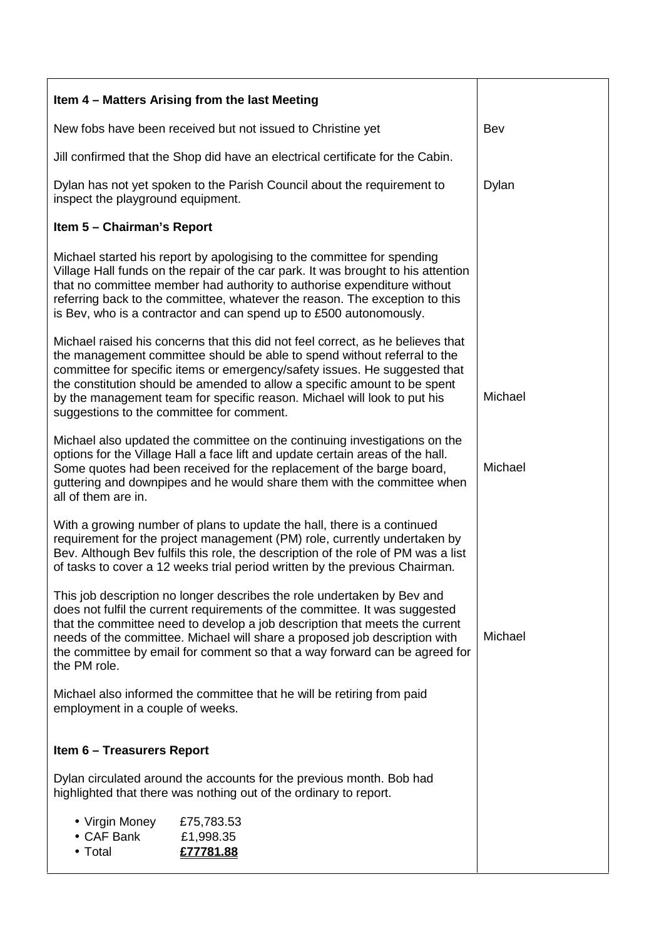| Item 4 - Matters Arising from the last Meeting                                                                                                                                                                                                                                                                                                                                                                                                  |                                      |         |
|-------------------------------------------------------------------------------------------------------------------------------------------------------------------------------------------------------------------------------------------------------------------------------------------------------------------------------------------------------------------------------------------------------------------------------------------------|--------------------------------------|---------|
| New fobs have been received but not issued to Christine yet                                                                                                                                                                                                                                                                                                                                                                                     |                                      | Bev     |
| Jill confirmed that the Shop did have an electrical certificate for the Cabin.                                                                                                                                                                                                                                                                                                                                                                  |                                      |         |
| Dylan has not yet spoken to the Parish Council about the requirement to<br>inspect the playground equipment.                                                                                                                                                                                                                                                                                                                                    | Dylan                                |         |
| Item 5 - Chairman's Report                                                                                                                                                                                                                                                                                                                                                                                                                      |                                      |         |
| Michael started his report by apologising to the committee for spending<br>Village Hall funds on the repair of the car park. It was brought to his attention<br>that no committee member had authority to authorise expenditure without<br>referring back to the committee, whatever the reason. The exception to this<br>is Bev, who is a contractor and can spend up to £500 autonomously.                                                    |                                      |         |
| Michael raised his concerns that this did not feel correct, as he believes that<br>the management committee should be able to spend without referral to the<br>committee for specific items or emergency/safety issues. He suggested that<br>the constitution should be amended to allow a specific amount to be spent<br>by the management team for specific reason. Michael will look to put his<br>suggestions to the committee for comment. |                                      | Michael |
| Michael also updated the committee on the continuing investigations on the<br>options for the Village Hall a face lift and update certain areas of the hall.<br>Some quotes had been received for the replacement of the barge board,<br>guttering and downpipes and he would share them with the committee when<br>all of them are in.                                                                                                         |                                      | Michael |
| With a growing number of plans to update the hall, there is a continued<br>requirement for the project management (PM) role, currently undertaken by<br>Bev. Although Bev fulfils this role, the description of the role of PM was a list<br>of tasks to cover a 12 weeks trial period written by the previous Chairman.                                                                                                                        |                                      |         |
| This job description no longer describes the role undertaken by Bev and<br>does not fulfil the current requirements of the committee. It was suggested<br>that the committee need to develop a job description that meets the current<br>needs of the committee. Michael will share a proposed job description with<br>the committee by email for comment so that a way forward can be agreed for<br>the PM role.                               |                                      | Michael |
| Michael also informed the committee that he will be retiring from paid<br>employment in a couple of weeks.                                                                                                                                                                                                                                                                                                                                      |                                      |         |
| <b>Item 6 - Treasurers Report</b>                                                                                                                                                                                                                                                                                                                                                                                                               |                                      |         |
| Dylan circulated around the accounts for the previous month. Bob had<br>highlighted that there was nothing out of the ordinary to report.                                                                                                                                                                                                                                                                                                       |                                      |         |
| • Virgin Money<br>• CAF Bank<br>• Total                                                                                                                                                                                                                                                                                                                                                                                                         | £75,783.53<br>£1,998.35<br>£77781.88 |         |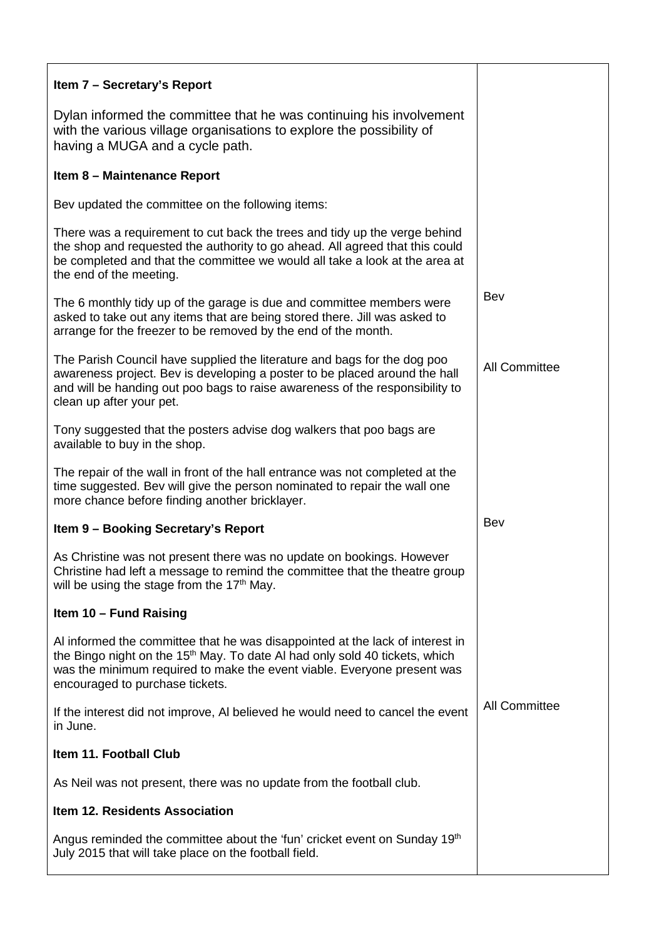| Item 7 - Secretary's Report                                                                                                                                                                                                                                                            |                      |
|----------------------------------------------------------------------------------------------------------------------------------------------------------------------------------------------------------------------------------------------------------------------------------------|----------------------|
| Dylan informed the committee that he was continuing his involvement<br>with the various village organisations to explore the possibility of<br>having a MUGA and a cycle path.                                                                                                         |                      |
| Item 8 - Maintenance Report                                                                                                                                                                                                                                                            |                      |
| Bev updated the committee on the following items:                                                                                                                                                                                                                                      |                      |
| There was a requirement to cut back the trees and tidy up the verge behind<br>the shop and requested the authority to go ahead. All agreed that this could<br>be completed and that the committee we would all take a look at the area at<br>the end of the meeting.                   |                      |
| The 6 monthly tidy up of the garage is due and committee members were<br>asked to take out any items that are being stored there. Jill was asked to<br>arrange for the freezer to be removed by the end of the month.                                                                  | Bev                  |
| The Parish Council have supplied the literature and bags for the dog poo<br>awareness project. Bev is developing a poster to be placed around the hall<br>and will be handing out poo bags to raise awareness of the responsibility to<br>clean up after your pet.                     | <b>All Committee</b> |
| Tony suggested that the posters advise dog walkers that poo bags are<br>available to buy in the shop.                                                                                                                                                                                  |                      |
| The repair of the wall in front of the hall entrance was not completed at the<br>time suggested. Bev will give the person nominated to repair the wall one<br>more chance before finding another bricklayer.                                                                           |                      |
| Item 9 - Booking Secretary's Report                                                                                                                                                                                                                                                    | Bev                  |
| As Christine was not present there was no update on bookings. However<br>Christine had left a message to remind the committee that the theatre group<br>will be using the stage from the 17 <sup>th</sup> May.                                                                         |                      |
| Item 10 - Fund Raising                                                                                                                                                                                                                                                                 |                      |
| Al informed the committee that he was disappointed at the lack of interest in<br>the Bingo night on the 15 <sup>th</sup> May. To date AI had only sold 40 tickets, which<br>was the minimum required to make the event viable. Everyone present was<br>encouraged to purchase tickets. |                      |
| If the interest did not improve, AI believed he would need to cancel the event<br>in June.                                                                                                                                                                                             | <b>All Committee</b> |
| Item 11. Football Club                                                                                                                                                                                                                                                                 |                      |
| As Neil was not present, there was no update from the football club.                                                                                                                                                                                                                   |                      |
| <b>Item 12. Residents Association</b>                                                                                                                                                                                                                                                  |                      |
| Angus reminded the committee about the 'fun' cricket event on Sunday 19th<br>July 2015 that will take place on the football field.                                                                                                                                                     |                      |
|                                                                                                                                                                                                                                                                                        |                      |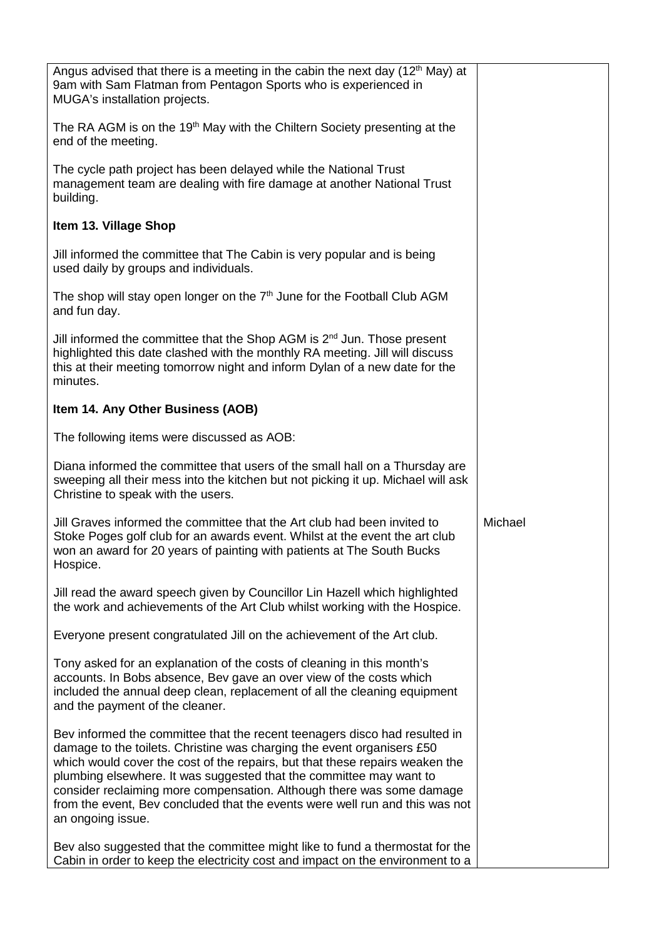| Angus advised that there is a meeting in the cabin the next day $(12th$ May) at<br>9am with Sam Flatman from Pentagon Sports who is experienced in<br>MUGA's installation projects.                                                                                                                                                                                                                                                                                                       |         |
|-------------------------------------------------------------------------------------------------------------------------------------------------------------------------------------------------------------------------------------------------------------------------------------------------------------------------------------------------------------------------------------------------------------------------------------------------------------------------------------------|---------|
| The RA AGM is on the 19 <sup>th</sup> May with the Chiltern Society presenting at the<br>end of the meeting.                                                                                                                                                                                                                                                                                                                                                                              |         |
| The cycle path project has been delayed while the National Trust<br>management team are dealing with fire damage at another National Trust<br>building.                                                                                                                                                                                                                                                                                                                                   |         |
| Item 13. Village Shop                                                                                                                                                                                                                                                                                                                                                                                                                                                                     |         |
| Jill informed the committee that The Cabin is very popular and is being<br>used daily by groups and individuals.                                                                                                                                                                                                                                                                                                                                                                          |         |
| The shop will stay open longer on the 7 <sup>th</sup> June for the Football Club AGM<br>and fun day.                                                                                                                                                                                                                                                                                                                                                                                      |         |
| Jill informed the committee that the Shop AGM is 2 <sup>nd</sup> Jun. Those present<br>highlighted this date clashed with the monthly RA meeting. Jill will discuss<br>this at their meeting tomorrow night and inform Dylan of a new date for the<br>minutes.                                                                                                                                                                                                                            |         |
| Item 14. Any Other Business (AOB)                                                                                                                                                                                                                                                                                                                                                                                                                                                         |         |
| The following items were discussed as AOB:                                                                                                                                                                                                                                                                                                                                                                                                                                                |         |
| Diana informed the committee that users of the small hall on a Thursday are<br>sweeping all their mess into the kitchen but not picking it up. Michael will ask<br>Christine to speak with the users.                                                                                                                                                                                                                                                                                     |         |
| Jill Graves informed the committee that the Art club had been invited to<br>Stoke Poges golf club for an awards event. Whilst at the event the art club<br>won an award for 20 years of painting with patients at The South Bucks<br>Hospice.                                                                                                                                                                                                                                             | Michael |
| Jill read the award speech given by Councillor Lin Hazell which highlighted<br>the work and achievements of the Art Club whilst working with the Hospice.                                                                                                                                                                                                                                                                                                                                 |         |
| Everyone present congratulated Jill on the achievement of the Art club.                                                                                                                                                                                                                                                                                                                                                                                                                   |         |
| Tony asked for an explanation of the costs of cleaning in this month's<br>accounts. In Bobs absence, Bev gave an over view of the costs which<br>included the annual deep clean, replacement of all the cleaning equipment<br>and the payment of the cleaner.                                                                                                                                                                                                                             |         |
| Bev informed the committee that the recent teenagers disco had resulted in<br>damage to the toilets. Christine was charging the event organisers £50<br>which would cover the cost of the repairs, but that these repairs weaken the<br>plumbing elsewhere. It was suggested that the committee may want to<br>consider reclaiming more compensation. Although there was some damage<br>from the event, Bev concluded that the events were well run and this was not<br>an ongoing issue. |         |
| Bev also suggested that the committee might like to fund a thermostat for the<br>Cabin in order to keep the electricity cost and impact on the environment to a                                                                                                                                                                                                                                                                                                                           |         |